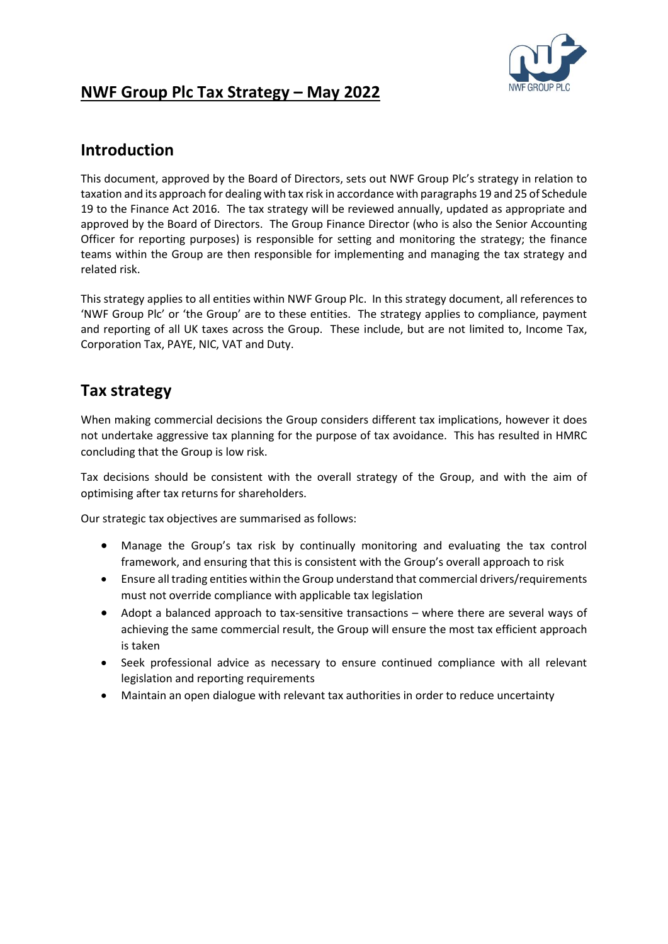

# **NWF Group Plc Tax Strategy – May 2022**

### **Introduction**

This document, approved by the Board of Directors, sets out NWF Group Plc's strategy in relation to taxation and its approach for dealing with tax risk in accordance with paragraphs 19 and 25 of Schedule 19 to the Finance Act 2016. The tax strategy will be reviewed annually, updated as appropriate and approved by the Board of Directors. The Group Finance Director (who is also the Senior Accounting Officer for reporting purposes) is responsible for setting and monitoring the strategy; the finance teams within the Group are then responsible for implementing and managing the tax strategy and related risk.

This strategy applies to all entities within NWF Group Plc. In this strategy document, all references to 'NWF Group Plc' or 'the Group' are to these entities. The strategy applies to compliance, payment and reporting of all UK taxes across the Group. These include, but are not limited to, Income Tax, Corporation Tax, PAYE, NIC, VAT and Duty.

## **Tax strategy**

When making commercial decisions the Group considers different tax implications, however it does not undertake aggressive tax planning for the purpose of tax avoidance. This has resulted in HMRC concluding that the Group is low risk.

Tax decisions should be consistent with the overall strategy of the Group, and with the aim of optimising after tax returns for shareholders.

Our strategic tax objectives are summarised as follows:

- Manage the Group's tax risk by continually monitoring and evaluating the tax control framework, and ensuring that this is consistent with the Group's overall approach to risk
- Ensure all trading entities within the Group understand that commercial drivers/requirements must not override compliance with applicable tax legislation
- Adopt a balanced approach to tax-sensitive transactions where there are several ways of achieving the same commercial result, the Group will ensure the most tax efficient approach is taken
- Seek professional advice as necessary to ensure continued compliance with all relevant legislation and reporting requirements
- Maintain an open dialogue with relevant tax authorities in order to reduce uncertainty